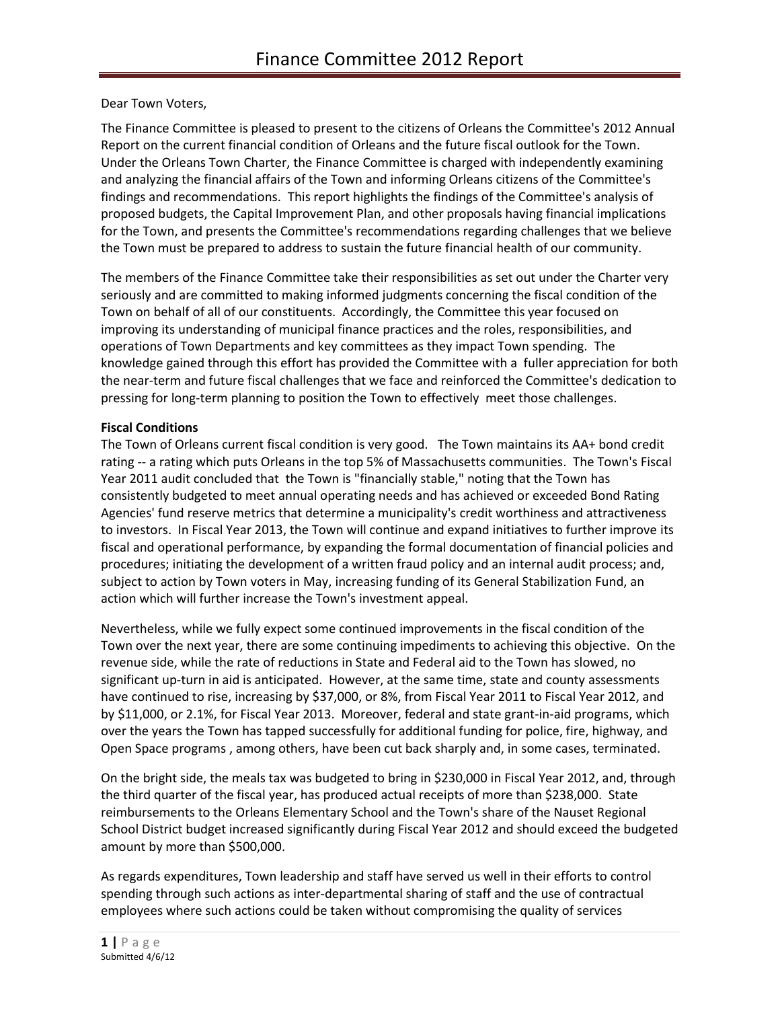Dear Town Voters,

The Finance Committee is pleased to present to the citizens of Orleans the Committee's 2012 Annual Report on the current financial condition of Orleans and the future fiscal outlook for the Town. Under the Orleans Town Charter, the Finance Committee is charged with independently examining and analyzing the financial affairs of the Town and informing Orleans citizens of the Committee's findings and recommendations. This report highlights the findings of the Committee's analysis of proposed budgets, the Capital Improvement Plan, and other proposals having financial implications for the Town, and presents the Committee's recommendations regarding challenges that we believe the Town must be prepared to address to sustain the future financial health of our community.

The members of the Finance Committee take their responsibilities as set out under the Charter very seriously and are committed to making informed judgments concerning the fiscal condition of the Town on behalf of all of our constituents. Accordingly, the Committee this year focused on improving its understanding of municipal finance practices and the roles, responsibilities, and operations of Town Departments and key committees as they impact Town spending. The knowledge gained through this effort has provided the Committee with a fuller appreciation for both the near-term and future fiscal challenges that we face and reinforced the Committee's dedication to pressing for long-term planning to position the Town to effectively meet those challenges.

## **Fiscal Conditions**

The Town of Orleans current fiscal condition is very good. The Town maintains its AA+ bond credit rating -- a rating which puts Orleans in the top 5% of Massachusetts communities. The Town's Fiscal Year 2011 audit concluded that the Town is "financially stable," noting that the Town has consistently budgeted to meet annual operating needs and has achieved or exceeded Bond Rating Agencies' fund reserve metrics that determine a municipality's credit worthiness and attractiveness to investors. In Fiscal Year 2013, the Town will continue and expand initiatives to further improve its fiscal and operational performance, by expanding the formal documentation of financial policies and procedures; initiating the development of a written fraud policy and an internal audit process; and, subject to action by Town voters in May, increasing funding of its General Stabilization Fund, an action which will further increase the Town's investment appeal.

Nevertheless, while we fully expect some continued improvements in the fiscal condition of the Town over the next year, there are some continuing impediments to achieving this objective. On the revenue side, while the rate of reductions in State and Federal aid to the Town has slowed, no significant up-turn in aid is anticipated. However, at the same time, state and county assessments have continued to rise, increasing by \$37,000, or 8%, from Fiscal Year 2011 to Fiscal Year 2012, and by \$11,000, or 2.1%, for Fiscal Year 2013. Moreover, federal and state grant-in-aid programs, which over the years the Town has tapped successfully for additional funding for police, fire, highway, and Open Space programs , among others, have been cut back sharply and, in some cases, terminated.

On the bright side, the meals tax was budgeted to bring in \$230,000 in Fiscal Year 2012, and, through the third quarter of the fiscal year, has produced actual receipts of more than \$238,000. State reimbursements to the Orleans Elementary School and the Town's share of the Nauset Regional School District budget increased significantly during Fiscal Year 2012 and should exceed the budgeted amount by more than \$500,000.

As regards expenditures, Town leadership and staff have served us well in their efforts to control spending through such actions as inter-departmental sharing of staff and the use of contractual employees where such actions could be taken without compromising the quality of services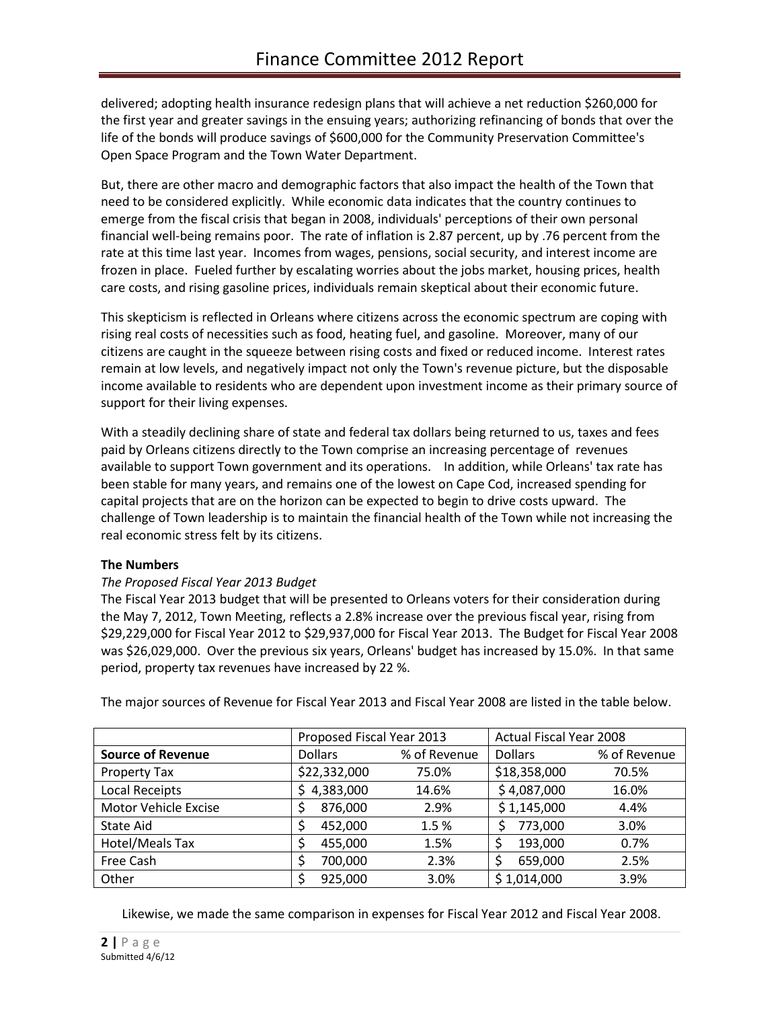delivered; adopting health insurance redesign plans that will achieve a net reduction \$260,000 for the first year and greater savings in the ensuing years; authorizing refinancing of bonds that over the life of the bonds will produce savings of \$600,000 for the Community Preservation Committee's Open Space Program and the Town Water Department.

But, there are other macro and demographic factors that also impact the health of the Town that need to be considered explicitly. While economic data indicates that the country continues to emerge from the fiscal crisis that began in 2008, individuals' perceptions of their own personal financial well-being remains poor. The rate of inflation is 2.87 percent, up by .76 percent from the rate at this time last year. Incomes from wages, pensions, social security, and interest income are frozen in place. Fueled further by escalating worries about the jobs market, housing prices, health care costs, and rising gasoline prices, individuals remain skeptical about their economic future.

This skepticism is reflected in Orleans where citizens across the economic spectrum are coping with rising real costs of necessities such as food, heating fuel, and gasoline. Moreover, many of our citizens are caught in the squeeze between rising costs and fixed or reduced income. Interest rates remain at low levels, and negatively impact not only the Town's revenue picture, but the disposable income available to residents who are dependent upon investment income as their primary source of support for their living expenses.

With a steadily declining share of state and federal tax dollars being returned to us, taxes and fees paid by Orleans citizens directly to the Town comprise an increasing percentage of revenues available to support Town government and its operations. In addition, while Orleans' tax rate has been stable for many years, and remains one of the lowest on Cape Cod, increased spending for capital projects that are on the horizon can be expected to begin to drive costs upward. The challenge of Town leadership is to maintain the financial health of the Town while not increasing the real economic stress felt by its citizens.

## **The Numbers**

## *The Proposed Fiscal Year 2013 Budget*

The Fiscal Year 2013 budget that will be presented to Orleans voters for their consideration during the May 7, 2012, Town Meeting, reflects a 2.8% increase over the previous fiscal year, rising from \$29,229,000 for Fiscal Year 2012 to \$29,937,000 for Fiscal Year 2013. The Budget for Fiscal Year 2008 was \$26,029,000. Over the previous six years, Orleans' budget has increased by 15.0%. In that same period, property tax revenues have increased by 22 %.

|                          | Proposed Fiscal Year 2013 |              | <b>Actual Fiscal Year 2008</b> |              |
|--------------------------|---------------------------|--------------|--------------------------------|--------------|
| <b>Source of Revenue</b> | <b>Dollars</b>            | % of Revenue | <b>Dollars</b>                 | % of Revenue |
| Property Tax             | \$22,332,000              | 75.0%        | \$18,358,000                   | 70.5%        |
| Local Receipts           | 4,383,000                 | 14.6%        | \$4,087,000                    | 16.0%        |
| Motor Vehicle Excise     | 876,000                   | 2.9%         | \$1,145,000                    | 4.4%         |
| State Aid                | 452,000                   | 1.5%         | 773,000                        | 3.0%         |
| Hotel/Meals Tax          | 455,000                   | 1.5%         | 193,000                        | 0.7%         |
| Free Cash                | 700,000                   | 2.3%         | 659,000                        | 2.5%         |
| Other                    | 925,000                   | 3.0%         | \$1,014,000                    | 3.9%         |

The major sources of Revenue for Fiscal Year 2013 and Fiscal Year 2008 are listed in the table below.

Likewise, we made the same comparison in expenses for Fiscal Year 2012 and Fiscal Year 2008.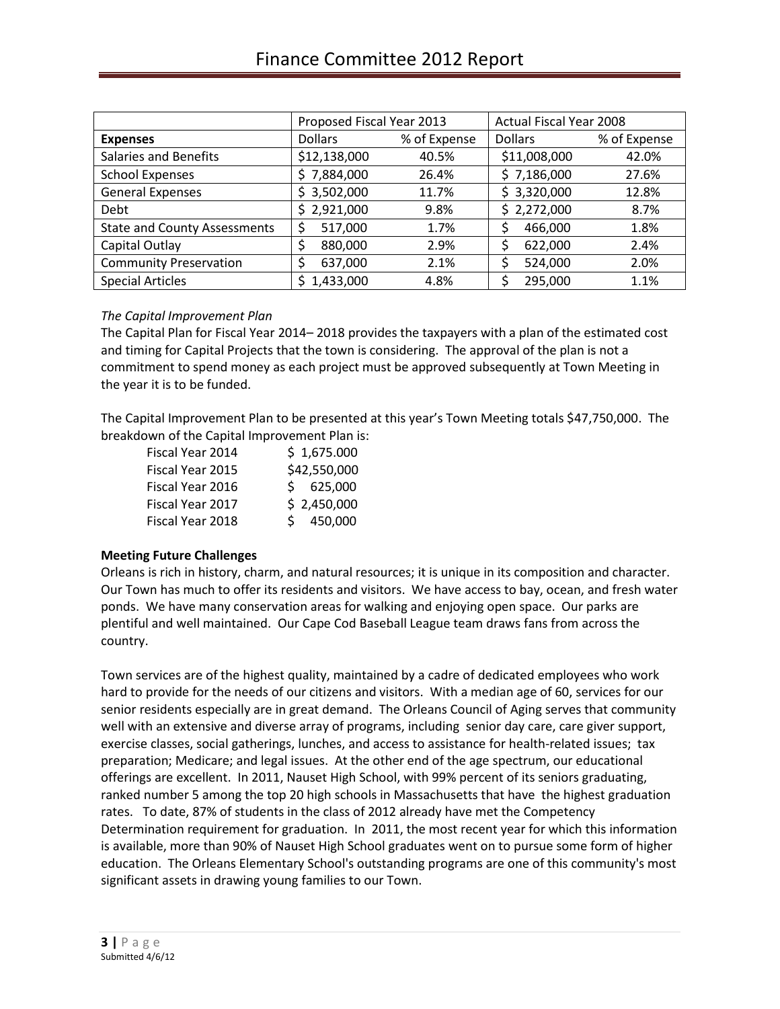|                                     | Proposed Fiscal Year 2013 |              | <b>Actual Fiscal Year 2008</b> |              |
|-------------------------------------|---------------------------|--------------|--------------------------------|--------------|
| <b>Expenses</b>                     | <b>Dollars</b>            | % of Expense | <b>Dollars</b>                 | % of Expense |
| <b>Salaries and Benefits</b>        | \$12,138,000              | 40.5%        | \$11,008,000                   | 42.0%        |
| <b>School Expenses</b>              | \$7,884,000               | 26.4%        | \$7,186,000                    | 27.6%        |
| <b>General Expenses</b>             | \$3,502,000               | 11.7%        | \$3,320,000                    | 12.8%        |
| Debt                                | \$2,921,000               | 9.8%         | \$2,272,000                    | 8.7%         |
| <b>State and County Assessments</b> | 517,000<br>\$             | 1.7%         | 466,000                        | 1.8%         |
| Capital Outlay                      | 880,000<br>\$             | 2.9%         | 622,000                        | 2.4%         |
| <b>Community Preservation</b>       | 637,000                   | 2.1%         | 524,000<br>Ś                   | 2.0%         |
| <b>Special Articles</b>             | 1,433,000                 | 4.8%         | 295,000                        | 1.1%         |

## *The Capital Improvement Plan*

The Capital Plan for Fiscal Year 2014– 2018 provides the taxpayers with a plan of the estimated cost and timing for Capital Projects that the town is considering. The approval of the plan is not a commitment to spend money as each project must be approved subsequently at Town Meeting in the year it is to be funded.

The Capital Improvement Plan to be presented at this year's Town Meeting totals \$47,750,000. The breakdown of the Capital Improvement Plan is:

| Fiscal Year 2014 | \$1,675.000  |
|------------------|--------------|
| Fiscal Year 2015 | \$42,550,000 |
| Fiscal Year 2016 | \$625,000    |
| Fiscal Year 2017 | \$2,450,000  |
| Fiscal Year 2018 | \$450,000    |

## **Meeting Future Challenges**

Orleans is rich in history, charm, and natural resources; it is unique in its composition and character. Our Town has much to offer its residents and visitors. We have access to bay, ocean, and fresh water ponds. We have many conservation areas for walking and enjoying open space. Our parks are plentiful and well maintained. Our Cape Cod Baseball League team draws fans from across the country.

Town services are of the highest quality, maintained by a cadre of dedicated employees who work hard to provide for the needs of our citizens and visitors. With a median age of 60, services for our senior residents especially are in great demand. The Orleans Council of Aging serves that community well with an extensive and diverse array of programs, including senior day care, care giver support, exercise classes, social gatherings, lunches, and access to assistance for health-related issues; tax preparation; Medicare; and legal issues. At the other end of the age spectrum, our educational offerings are excellent. In 2011, Nauset High School, with 99% percent of its seniors graduating, ranked number 5 among the top 20 high schools in Massachusetts that have the highest graduation rates. To date, 87% of students in the class of 2012 already have met the Competency Determination requirement for graduation. In 2011, the most recent year for which this information is available, more than 90% of Nauset High School graduates went on to pursue some form of higher education. The Orleans Elementary School's outstanding programs are one of this community's most significant assets in drawing young families to our Town.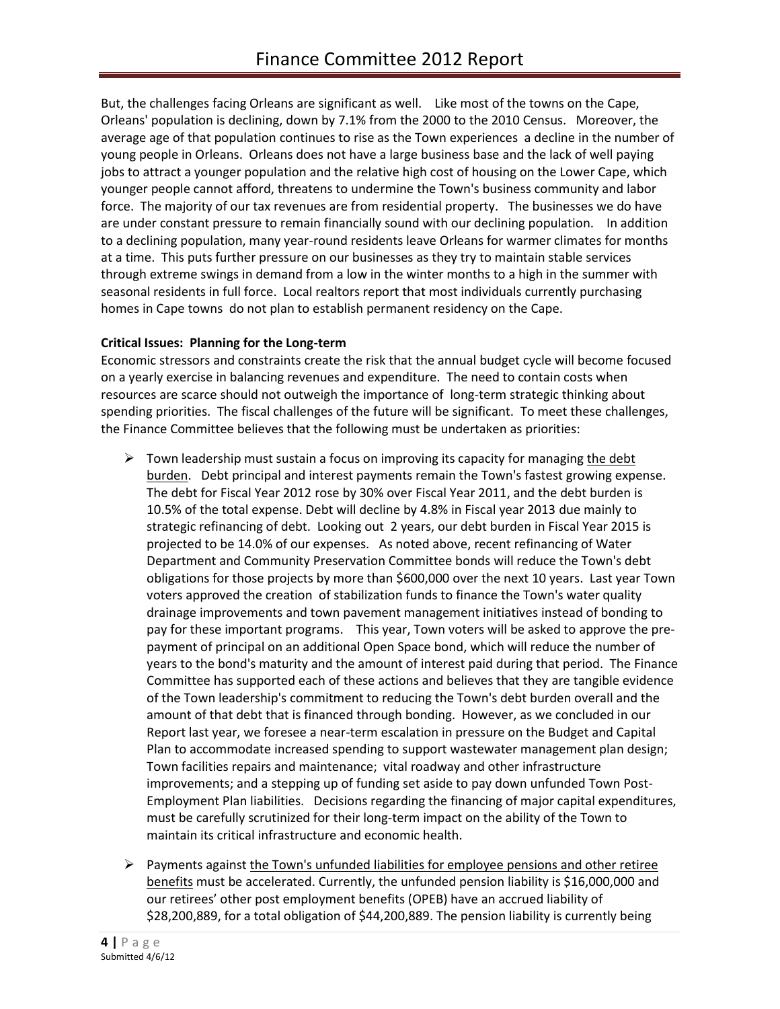But, the challenges facing Orleans are significant as well. Like most of the towns on the Cape, Orleans' population is declining, down by 7.1% from the 2000 to the 2010 Census. Moreover, the average age of that population continues to rise as the Town experiences a decline in the number of young people in Orleans. Orleans does not have a large business base and the lack of well paying jobs to attract a younger population and the relative high cost of housing on the Lower Cape, which younger people cannot afford, threatens to undermine the Town's business community and labor force. The majority of our tax revenues are from residential property. The businesses we do have are under constant pressure to remain financially sound with our declining population. In addition to a declining population, many year-round residents leave Orleans for warmer climates for months at a time. This puts further pressure on our businesses as they try to maintain stable services through extreme swings in demand from a low in the winter months to a high in the summer with seasonal residents in full force. Local realtors report that most individuals currently purchasing homes in Cape towns do not plan to establish permanent residency on the Cape.

# **Critical Issues: Planning for the Long-term**

Economic stressors and constraints create the risk that the annual budget cycle will become focused on a yearly exercise in balancing revenues and expenditure. The need to contain costs when resources are scarce should not outweigh the importance of long-term strategic thinking about spending priorities. The fiscal challenges of the future will be significant. To meet these challenges, the Finance Committee believes that the following must be undertaken as priorities:

- $\triangleright$  Town leadership must sustain a focus on improving its capacity for managing the debt burden. Debt principal and interest payments remain the Town's fastest growing expense. The debt for Fiscal Year 2012 rose by 30% over Fiscal Year 2011, and the debt burden is 10.5% of the total expense. Debt will decline by 4.8% in Fiscal year 2013 due mainly to strategic refinancing of debt. Looking out 2 years, our debt burden in Fiscal Year 2015 is projected to be 14.0% of our expenses. As noted above, recent refinancing of Water Department and Community Preservation Committee bonds will reduce the Town's debt obligations for those projects by more than \$600,000 over the next 10 years. Last year Town voters approved the creation of stabilization funds to finance the Town's water quality drainage improvements and town pavement management initiatives instead of bonding to pay for these important programs. This year, Town voters will be asked to approve the prepayment of principal on an additional Open Space bond, which will reduce the number of years to the bond's maturity and the amount of interest paid during that period. The Finance Committee has supported each of these actions and believes that they are tangible evidence of the Town leadership's commitment to reducing the Town's debt burden overall and the amount of that debt that is financed through bonding. However, as we concluded in our Report last year, we foresee a near-term escalation in pressure on the Budget and Capital Plan to accommodate increased spending to support wastewater management plan design; Town facilities repairs and maintenance; vital roadway and other infrastructure improvements; and a stepping up of funding set aside to pay down unfunded Town Post-Employment Plan liabilities. Decisions regarding the financing of major capital expenditures, must be carefully scrutinized for their long-term impact on the ability of the Town to maintain its critical infrastructure and economic health.
- $\triangleright$  Payments against the Town's unfunded liabilities for employee pensions and other retiree benefits must be accelerated. Currently, the unfunded pension liability is \$16,000,000 and our retirees' other post employment benefits (OPEB) have an accrued liability of \$28,200,889, for a total obligation of \$44,200,889. The pension liability is currently being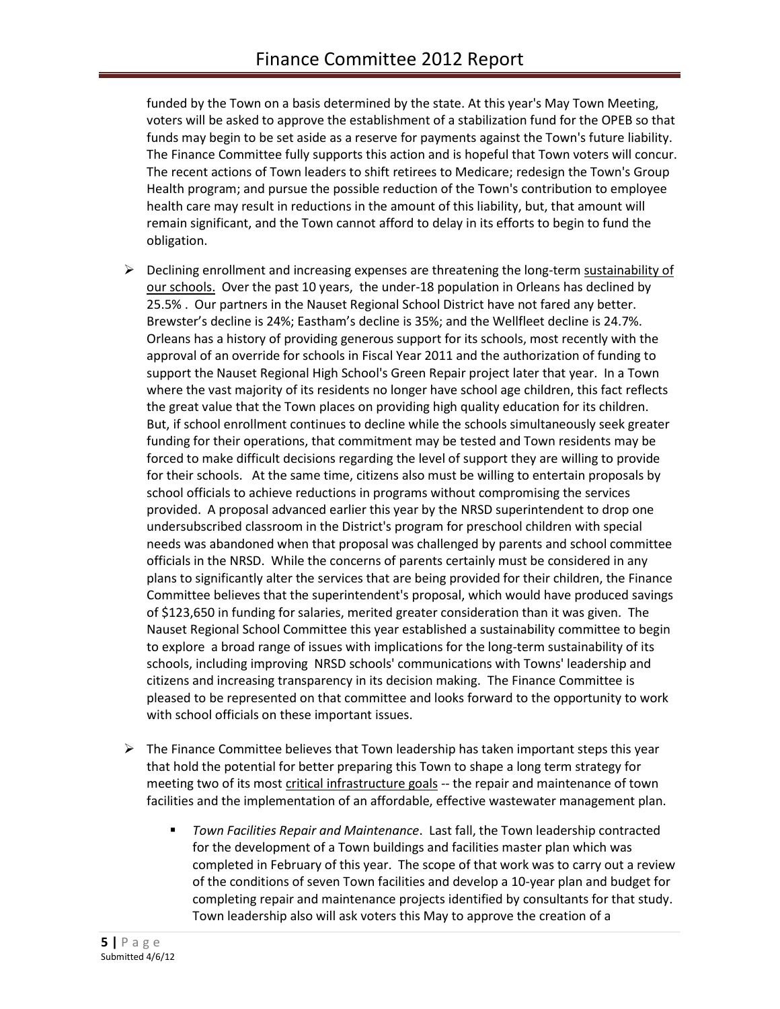funded by the Town on a basis determined by the state. At this year's May Town Meeting, voters will be asked to approve the establishment of a stabilization fund for the OPEB so that funds may begin to be set aside as a reserve for payments against the Town's future liability. The Finance Committee fully supports this action and is hopeful that Town voters will concur. The recent actions of Town leaders to shift retirees to Medicare; redesign the Town's Group Health program; and pursue the possible reduction of the Town's contribution to employee health care may result in reductions in the amount of this liability, but, that amount will remain significant, and the Town cannot afford to delay in its efforts to begin to fund the obligation.

- $\triangleright$  Declining enrollment and increasing expenses are threatening the long-term sustainability of our schools. Over the past 10 years, the under-18 population in Orleans has declined by 25.5% . Our partners in the Nauset Regional School District have not fared any better. Brewster's decline is 24%; Eastham's decline is 35%; and the Wellfleet decline is 24.7%. Orleans has a history of providing generous support for its schools, most recently with the approval of an override for schools in Fiscal Year 2011 and the authorization of funding to support the Nauset Regional High School's Green Repair project later that year. In a Town where the vast majority of its residents no longer have school age children, this fact reflects the great value that the Town places on providing high quality education for its children. But, if school enrollment continues to decline while the schools simultaneously seek greater funding for their operations, that commitment may be tested and Town residents may be forced to make difficult decisions regarding the level of support they are willing to provide for their schools. At the same time, citizens also must be willing to entertain proposals by school officials to achieve reductions in programs without compromising the services provided. A proposal advanced earlier this year by the NRSD superintendent to drop one undersubscribed classroom in the District's program for preschool children with special needs was abandoned when that proposal was challenged by parents and school committee officials in the NRSD. While the concerns of parents certainly must be considered in any plans to significantly alter the services that are being provided for their children, the Finance Committee believes that the superintendent's proposal, which would have produced savings of \$123,650 in funding for salaries, merited greater consideration than it was given. The Nauset Regional School Committee this year established a sustainability committee to begin to explore a broad range of issues with implications for the long-term sustainability of its schools, including improving NRSD schools' communications with Towns' leadership and citizens and increasing transparency in its decision making. The Finance Committee is pleased to be represented on that committee and looks forward to the opportunity to work with school officials on these important issues.
- $\triangleright$  The Finance Committee believes that Town leadership has taken important steps this year that hold the potential for better preparing this Town to shape a long term strategy for meeting two of its most critical infrastructure goals -- the repair and maintenance of town facilities and the implementation of an affordable, effective wastewater management plan.
	- *Town Facilities Repair and Maintenance*. Last fall, the Town leadership contracted for the development of a Town buildings and facilities master plan which was completed in February of this year. The scope of that work was to carry out a review of the conditions of seven Town facilities and develop a 10-year plan and budget for completing repair and maintenance projects identified by consultants for that study. Town leadership also will ask voters this May to approve the creation of a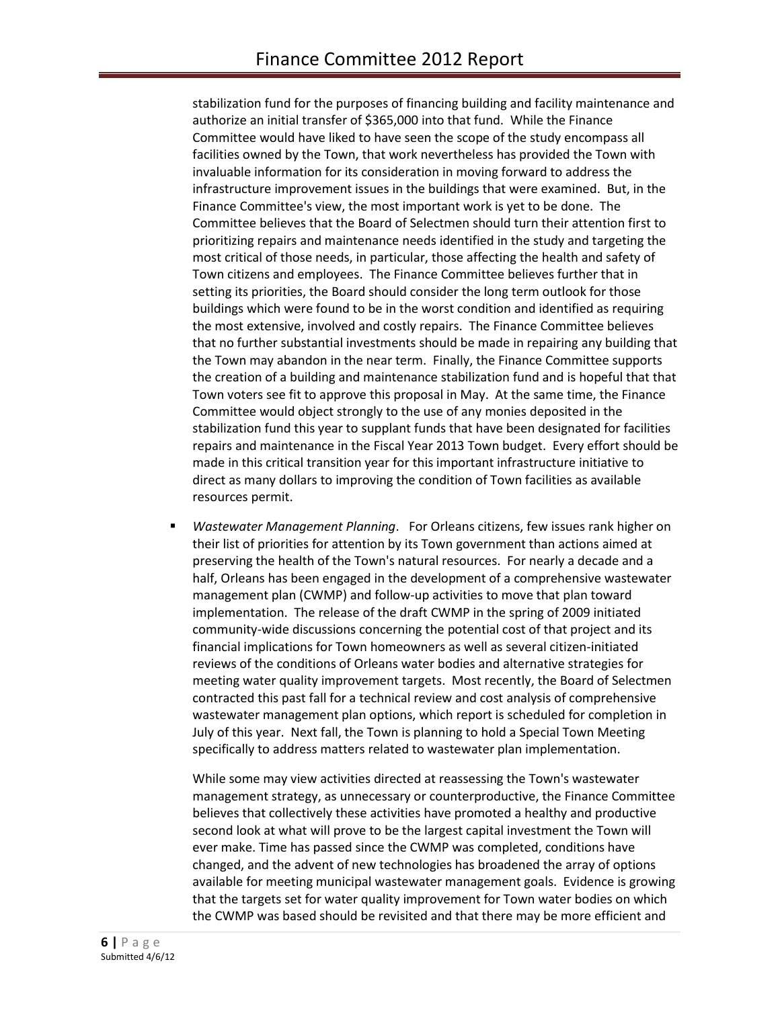stabilization fund for the purposes of financing building and facility maintenance and authorize an initial transfer of \$365,000 into that fund. While the Finance Committee would have liked to have seen the scope of the study encompass all facilities owned by the Town, that work nevertheless has provided the Town with invaluable information for its consideration in moving forward to address the infrastructure improvement issues in the buildings that were examined. But, in the Finance Committee's view, the most important work is yet to be done. The Committee believes that the Board of Selectmen should turn their attention first to prioritizing repairs and maintenance needs identified in the study and targeting the most critical of those needs, in particular, those affecting the health and safety of Town citizens and employees. The Finance Committee believes further that in setting its priorities, the Board should consider the long term outlook for those buildings which were found to be in the worst condition and identified as requiring the most extensive, involved and costly repairs. The Finance Committee believes that no further substantial investments should be made in repairing any building that the Town may abandon in the near term. Finally, the Finance Committee supports the creation of a building and maintenance stabilization fund and is hopeful that that Town voters see fit to approve this proposal in May. At the same time, the Finance Committee would object strongly to the use of any monies deposited in the stabilization fund this year to supplant funds that have been designated for facilities repairs and maintenance in the Fiscal Year 2013 Town budget. Every effort should be made in this critical transition year for this important infrastructure initiative to direct as many dollars to improving the condition of Town facilities as available resources permit.

 *Wastewater Management Planning*. For Orleans citizens, few issues rank higher on their list of priorities for attention by its Town government than actions aimed at preserving the health of the Town's natural resources. For nearly a decade and a half, Orleans has been engaged in the development of a comprehensive wastewater management plan (CWMP) and follow-up activities to move that plan toward implementation. The release of the draft CWMP in the spring of 2009 initiated community-wide discussions concerning the potential cost of that project and its financial implications for Town homeowners as well as several citizen-initiated reviews of the conditions of Orleans water bodies and alternative strategies for meeting water quality improvement targets. Most recently, the Board of Selectmen contracted this past fall for a technical review and cost analysis of comprehensive wastewater management plan options, which report is scheduled for completion in July of this year. Next fall, the Town is planning to hold a Special Town Meeting specifically to address matters related to wastewater plan implementation.

While some may view activities directed at reassessing the Town's wastewater management strategy, as unnecessary or counterproductive, the Finance Committee believes that collectively these activities have promoted a healthy and productive second look at what will prove to be the largest capital investment the Town will ever make. Time has passed since the CWMP was completed, conditions have changed, and the advent of new technologies has broadened the array of options available for meeting municipal wastewater management goals. Evidence is growing that the targets set for water quality improvement for Town water bodies on which the CWMP was based should be revisited and that there may be more efficient and